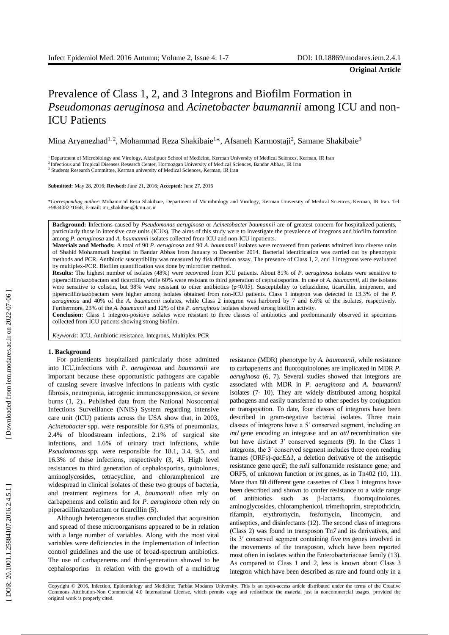# Prevalence of Class 1, 2 , and 3 Integron s and Biofilm Formation in *Pseudomonas aeruginosa* and *Acinetobacter baumannii* among ICU and non - ICU Patients

Mina Aryanezhad<sup>1, 2</sup>, Mohammad Reza Shakibaie<sup>1</sup>\*, Afsaneh Karmostaji<sup>2</sup>, Samane Shakibaie<sup>3</sup>

<sup>1</sup> Department of Microbiology and Virology, Afzalipuor School of Medicine, Kerman University of Medical Sciences, Kerman, IR Iran

<sup>2</sup> Infectious and Tropical Diseases Research Center, Hormozgan University of Medical Sciences, Bandar Abbas, IR Iran

<sup>3</sup> Students Research Committee, Kerman university of Medical Sciences, Kerman, IR Iran

#### **Submitted:** May 28, 2016; **Revised:** June 21, 2016; **Accepted:** June 27, 2016

\**Corresponding author*: Mohammad Reza Shakibaie, Department of Microbiology and Virology, Kerman University of Medical Sciences, Kerman, IR Iran. Tel: +983433221668, E -mail: mr\_shakibaei@kmu.ac.ir

**Background:** Infections caused by *Pseudomonas aeruginosa* or *Acinetobacter baumannii* are of greatest concern for hospitalized patients, particularly those in intensive care units (ICUs). The aim s of this study were to investigate the prevalence of integrons and biofilm formation among P. *aeruginosa* and A. *baumannii* isolates collected from ICU and non-ICU inpatients.

**Materials and Methods :** A total of 90 *P. aeruginosa* and 90 *A. baumanni i* isolates were recovered from patients admitted into diverse units of Shahid Mohammadi hospital in Bandar Abbas from January to December 2014. Bacterial identification was carried out by phenotypic methods and PCR. Antibiotic susceptibility was measured by disk diffusion assay. The presence of Class 1, 2 , and 3 integrons were evaluated by multiplex -PCR. Biofilm quantification was done by microtiter method .

Results: The highest number of isolates (48%) were recovered from ICU patients. About 81% of *P. aeruginosa* isolates were sensitive to piperacillin /tazobactam and ticarcillin, while 60% were resistant to third generation of cephalosporins. In case of *A. baumannii,* all the isolates were sensitive to colistin, but 98% were resistant to other antibiotics (p≤0.05). Susceptibility to ceftazidime, ticarcillin, imipenem, and piperacillin/tazobactam were higher among isolates obtained from non -ICU patients. Class 1 integron was detected in 13.3% of the *P. aeruginosa* and 40% of the *A. baumannii* isolates, while C lass 2 integron was harbored by 7 and 6.6% of the isolates , respectively. Furthermore, 23% of the *A. baumannii* and 12% of the *P. aeruginosa* isolates showed strong biofilm activity .

**Conclusion:** Class 1 integron -positive isolates were resistant to three classes of antibiotics and predominantly observed in specimens collected from ICU patients showing strong biofilm .

*Keywords:* ICU, Antibiotic resistance, Integrons, Multiplex -PCR

#### **1. Background**

For patientients hospitalized particularly those admitted into ICU ,infections with *P. aeruginosa* and *baumannii* are important because these opportunistic pathogens are capable of causing severe invasive infections in patients with cystic fibrosis, neutropenia, iatrogenic immunosuppression, or severe burns (1, 2). . Published data from the National Nosocomial Infections Surveillance (NNIS) System regarding intensive care unit (ICU) patients across the USA show that, in 2003, *Acinetobacter* spp. were responsible for 6.9% of pneumonias, 2.4% of bloodstream infections, 2.1% of surgical site infections , and 1.6% of urinary tract infections, while *Pseudomonas* spp. were responsible for 18.1, 3.4, 9.5 , and 16.3% of these infections , respectively (3, 4 ) . High level resistances to third generation of cephalosporins, quinolones, aminoglycosides, tetracycline , and chloramphenicol are widespread in clinical isolates of these two groups of bacteria , and treatment regimens for *A. baumannii* often rely on carbapenems and colistin and for *P. aeruginosa* often rely on piperacillin/tazobactam or ticarcillin (5).

Although heterogeneous studies concluded that acquisition and spread of these microorganisms appeared to be in relation with a large number of variables. Along with the most vital variables were deficiencies in the implementation of infection control guidelines and the use of broad -spectrum antibiotics. The use of carbapenems and third -generation showed to be cephalosporins in relation with the growth of a multidrug

resistance (MDR) phenotype by *A. baumannii*, while resistance to carbapenems and fluoroquinolones are implicated in MDR *P. aeruginosa*  ( 6, 7 ) . Several studies showed that integrons are associated with MDR in *P. aeruginosa* and *A. baumannii* isolates ( 7 - 10 ). They are widely distributed among hospital pathogens and easily transferred to other species by conjugation or transposition. To date, four classes of integrons have been described in gram -negative bacterial isolates . Three main classes of integrons have a 5′ conserved segment, including an *intI* gene encoding an integrase and an *attI* recombination site but have distinct 3′ conserved segments ( 9 ). In the Class 1 integrons, the 3′ conserved segment includes three open reading frames (ORFs) -*qacE*Δ *1*, a deletion derivative of the antiseptic resistance gene *qacE*; the *sul1* sulfonamide resistance gene; and ORF5, of unknown function or *int* genes, as in Tn402 (10, 11). More than 80 different gene cassettes of Class 1 integrons have been described and shown to confer resistance to a wide range of antibiotics such as β -lactams, fluoroquinolones, aminoglycosides, chloramphenicol, trimethoprim, streptothricin, rifampin, erythromycin, fosfomycin, lincomycin, and antiseptics , and disinfectants ( 1 2 ) . The second class of integrons ( Class 2) was found in transposon Tn *7* and its derivatives, and its 3′ conserved segment containing five *tns* genes involved in the movements of the transposon , which have been reported most often in isolates within the Enterobacteriaceae family ( 1 3 ) . As compared to Class 1 and 2, less is known about Class 3 integron which have been described as rare and found only in a

Copyright © 2016, Infection, Epidemiology and Medicine; Tarbiat Modares University. This is an open -access article distributed under the terms of the Creative Commons Attribution -Non Commercial 4.0 International License, which permits copy and redistribute the material just in noncommercial usages, provided the original work is properly cited.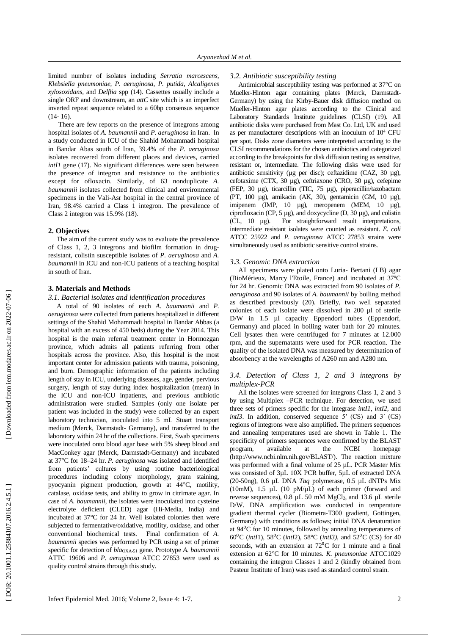limited number of isolates including *Serratia marcescens*, *Klebsiella pneumoniae*, *P . aeruginosa*, *P . putida* , *Alcaligenes xylosoxidans*, and *Delftia* spp ( 1 4). Cassettes usually include a single ORF and downstream, an *attC* site which is an imperfect inverted repeat sequence related to a 60bp consensus sequence (14- 16).

There are few reports on the presence of integrons among hospital isolates of *A. baumannii* and *P. aeruginosa* in Iran. In a study conducted in ICU of the Shahid Mohammadi hospital in Bandar Abas south of Iran, 39.4% of the *P. aeruginosa* isolates recovered from different places and devices , carried *intI1* gene (17). No significant differences were seen between the presence of integron and resistance to the antibiotics except for ofloxacin. Similarly, of 63 nonduplicate *A. baumannii* isolates collected from clinical and environmental specimens in the Vali-Asr hospital in the central province of Iran, 98.4% carried a Class 1 integron. The prevalence of Class 2 integron was  $15.9\%$  (18).

# **2. Objectives**

The aim of the current study was to evaluate the prevalence of Class 1, 2 , 3 integrons and biofilm formation in drug resistant, colistin susceptible isolates of *P. aeruginosa* and *A. baumannii* in ICU and non -ICU patients of a teaching hospital in south of Iran.

# **3. Materials and Methods**

#### *3.1. Bacterial isolates and identification procedures*

A total of 90 isolates of each *A. baumannii* and *P. aeruginosa* were collected from patients hospitalized in different setting s of the Shahid Mohammadi hospital in Bandar Abbas (a hospital with an excess of 450 beds ) during the Year 2014. This hospital is the main referral treatment center in Hormozgan province, which admits all patients referring from other hospitals across the province. Also, this hospital is the most important center for admission patients with trauma, poisoning, and burn. Demographic information of the patients including length of stay in ICU, underlying diseases , age, gender, pervious surgery, length of stay during index hospitalization (mean) in the ICU and non -ICU inpatients, and pr evious antibiotic administration were studied. Samples (only one isolate per patient was included in the study) were collected by an expert laboratory technician, inoculated into 5 m L Stuart transport medium (Merck, Darmstadt - Germany) , and transferred to the laboratory within 24 h r of the collections. First, Swab specimens were inoculated onto blood agar base with 5% sheep blood and MacConkey agar (Merck, Darmstadt -Germany) and incubated at 37°C for 18 –24 h r . *P. aeruginosa* was isolated and identified from patients' cultures by using routine bacteriological procedures including colony morphology, gram staining, pyocyanin pigment production, growth at 44°C, motility, catalase, oxidase tests, and ability to grow in citrimate agar. In case of *A. baumannii*, the isolates were inoculated into cysteine electrolyte deficient (CLED ) agar (Hi -Media, India) and incubated at 37°C for 24 h r. Well isolated colonies then were subjected to fermentative/oxidative, motility, oxidase , and other conventional biochemical tests. Final confirmation of *A. baumannii* species was performed by PCR using a set of primer specific for detection of *bla*<sub>OXA-51</sub> gene. Prototype *A. baumannii* ATTC 19606 and *P. aeruginosa* ATCC 27853 were used as quality control strains th rough this study.

#### *3.2. Antibiotic susceptibility testing*

Antimicrobial susceptibility testing was performed at 37°C on Mueller -Hinton agar containing plates (Merck, Darmstadt - Germany) by using the Kirby -Bauer disk diffusion method on Mueller -Hinton agar plates according to the Clinical and Laboratory Standards Institute guidelines (CLSI) ( 19) . All antibiotic disks were purchased from Mast Co. Ltd, UK and used as per manufacturer descriptions with an inoculum of 10 <sup>4</sup> CFU per spot. Disk s zone diameters were interpreted according to the CLSI recommendations for the chosen antibiotics and categorized according to the breakpoints for disk diffusion testing as sensitive, resistant or, intermediate. The following disks were used for antibiotic sensitivity (µg per disc); ceftazidime (CAZ, 30 µg), cefotaxime (CTX, 30 µg), ceftriaxone (CRO , 30 µg), cefepime (FEP, 30 µg), ticarcillin (TIC, 75 µg), piperacillin/tazobactam (PT, 100 µg), amikacin (AK, 30), gentamicin (GM, 10 µg), imipenem (IMP, 10 µg), meropenem (MEM, 10 µg), ciprofloxacin (CP,  $5 \mu g$ ), and doxycycline (D,  $30 \mu g$ ), and colistin (CL, 10 µg). For straightforward result interpretations, intermediate resistant isolates were counted as resistant. *E. coli*  ATCC 25922 and *P. aeruginosa* ATCC 27853 strains were simultaneously used as antibiotic sensitive control strains *.*

### *3.3. Genomic DNA extraction*

All specimens were plated onto Luria - Bertani (LB) agar (BioMérieux, Marcy l'Etoile, France) and incubated at 37ºC for 24 h r . Genomic DNA was extracted from 90 isolates of *P. aeruginosa* and 90 isolates of *A. baumannii* by boiling method as described previously (20). Briefly, two well separated colonies of each isolate were dissolved in 200 µl of sterile D/W in 1.5 µl capacity Eppendorf tubes (Eppendorf, Germany) and placed in boiling water bath for 20 minutes. Cell lysates then were centrifuged for 7 minutes at 12 .000 rpm , and the supernatant s were used for PCR reaction. The quality of the isolated DNA was measured by determination of absorbency at the wavelengths of A260 nm and A280 nm.

# *3.4. Detection of Class 1, 2 and 3 integrons by multiplex -PCR*

All the isolates were screened for integron s Class 1, 2 and 3 by using Multiplex –PCR technique . For detection, we used three sets of primers specific for the integrase *intI1*, *intI2,* and *intI3*. In addition, conserved sequence 5' (CS) and 3' (CS) region s of integron s were also amplified. The primers sequences and annealing temperatures used are shown in Table 1. The specificity of primers sequences were confirmed by the BLAST program, available at the NCBI homepage [\(http://www.ncbi.nlm.nih.gov/BLAST/\)](http://www.ncbi.nlm.nih.gov/BLAST/). The reaction mixture was performed with a final volume of 25 µL. PCR Master Mix was consisted of 3µL 10X PCR buffer, 5µL of extracted DNA (20 -50ng), 0.6 µL DNA *Taq* polymerase, 0.5 µL dNTP s Mix (10mM),  $1.5 \mu L$  (10 pM/ $\mu$ L) of each primer (forward and reverse sequences), 0.8 µL 50 mM MgCl 2 , and 1 3.6 µL sterile D/W. DNA amplification was conducted in temperature gradient thermal cycler (Biometra -T300 gradient, Gottingen, Germany) with conditions as follows; initial DNA denaturation at  $94^{\circ}$ C for 10 minutes, followed by annealing temperatures of  $60^{\circ}$ C (*intI*1), 58<sup>o</sup>C (*intI2*), 58<sup>o</sup>C (*intI3*), and 52<sup>o</sup>C (CS) for 40 seconds, with an extension at  $72^{\circ}$ C for 1 minute and a final extension at 62°C for 10 minutes. *K. pneumoniae* ATCC1029 containing the integron Classes 1 and 2 (kindly obtained from Pasteur Institute of Iran) was used as standard control strain.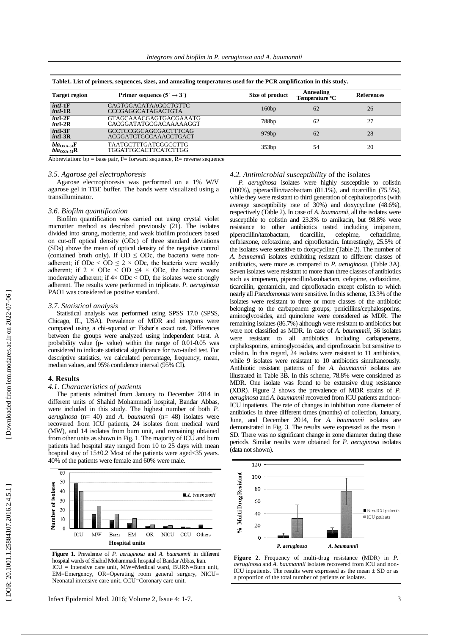| Table1. List of primers, sequences, sizes, and annealing temperatures used for the PCR amplification in this study. |                                                       |                 |                                         |                   |  |  |
|---------------------------------------------------------------------------------------------------------------------|-------------------------------------------------------|-----------------|-----------------------------------------|-------------------|--|--|
| <b>Target region</b>                                                                                                | Primer sequence $(5' \rightarrow 3')$                 | Size of product | Annealing<br>Temperature <sup>o</sup> C | <b>References</b> |  |  |
| $intI-1F$<br>$intI-1R$                                                                                              | CAGTGGACATAAGCCTGTTC<br><b>CCCGAGGCATAGACTGTA</b>     | 160bp           | 62                                      | 26                |  |  |
| $int1-2F$<br>$intI-2R$                                                                                              | GTAGCAAACGAGTGACGAAATG<br>CACGGATATGCGACAAAAAGGT      | 788bp           | 62                                      | 27                |  |  |
| $int1-3F$<br>$int1-3R$                                                                                              | <b>GCCTCCGGCAGCGACTTTCAG</b><br>ACGGATCTGCCAAACCTGACT | 979bp           | 62                                      | 28                |  |  |
| $bla_{\text{OXA-51}}\text{F}$<br>$bla_{\text{OX}}_{4.51}R$                                                          | <b>TAATGCTTTGATCGGCCTTG</b><br>TGGATTGCACTTCATCTTGG   | 353bp           | 54                                      | 20                |  |  |

Abbreviation:  $bp = base pair$ ,  $F = forward sequence$ ,  $R = reverse sequence$ 

#### *3.5. Agarose gel electrophoresis*

Agarose electrophoresis was performed on a 1% W/V agarose gel in TBE buffer. The bands were visualized using a transilluminator.

#### *3.6. Biofilm quantification*

Biofilm quantification was carried out using crystal violet microtiter method as described previously ( 2 1 ). The isolates divided into strong, moderate , and weak biofilm producers based on cut -off optical density (ODc) of three standard deviations (SDs) above the mean of optical density of the negative control (contained broth only). If  $OD \le ODc$ , the bacteria were nonadherent; if  $ODc < OD \le 2 \times ODc$ , the bacteria were weakly adherent; if  $2 \times ODC < OD \leq 4 \times ODC$ , the bacteria were moderately adherent; if  $4 \times$  ODc  $<$  OD, the isolates were strongly adherent. The results were performed in triplicate. *P. aeruginosa* PAO1 was considered as positive standard.

#### *3.7. Statistical analysis*

Statistical analysis was performed using SPSS 17.0 (SPSS, Chicago, IL, USA). Prevalence of MDR and integrons were compared using a chi -squared or Fisher's exact test . Differences between the groups were analyzed using independent t-test. A probability value (p - value) within the range of 0.01 -0.05 was considered to indicate statistical significance for two -tailed test. For descriptive statistics, we calculated percentage, frequency, mean, median values , and 95% confidence interval (95% CI).

#### **4. Results**

#### *4.1. Characteristics of patients*

The patients admitted from January to December 2014 in different units of Shahid Mohammad i hospital, Bandar Abbas , were included in this study . The highest number of both *P. aeruginosa* (n= 40) and *A. baumannii* (n= 48) isolates were recovered from ICU patients, 24 isolates from medical ward (MW), and 14 isolates from burn unit, and remaining obtained from other units as shown in Fig . 1. The majority of ICU and burn patients had hospital stay ranged from 1 0 to 25 days with mean hospital stay of  $15\pm0.2$  Most of the patients were aged<35 years. 40% of the patients were female and 60% were male.



**Figure 1.** Prevalence of *P. aeruginosa* and *A. baumannii* in different hospital wards of Shahid Mohammadi hospital of Bandar Abbas, Iran.  $ICU =$  Intensive care unit, MW=Medical ward, BURN=Burn unit, EM=Emergency, OR=Operating room general surgery, NICU= Neonatal intensive care unit, CCU=Coronary care unit.

#### *4.2. Antimicrobial susceptibility* of the isolates

*P. aeruginosa* isolates were highly susceptible to colistin (100%), piperacillin/tazobactam (81.1%) , and ticarcillin (75.5%), while they were resistant to third generation of cephalosporins (with average susceptibility rate of 30%) and doxycycline (48.6%) , respectively (Table 2). In case of *A. baumannii*, all the isolates were susceptible to colistin and 23.3% to amikacin , but 98.8% were resistance to other antibiotics tested including imipenem, piperacillin/tazobactam, ticarcillin, cefepime, ceftazidime, ceftriaxone, cefotaxime , and ciprofloxacin. Interestingly, 25.5% of the isolates were sensitive to doxycycline (Table 2). The number of *A. baumannii* isolates exhibiting resistant to different classes of antibiotics , were more as compare d to *P. aeruginosa*. (Table 3A). Seven isolates were resistant to more than three classes of antibiotics such as imipenem, piperacillin/tazobactam, cefepime, ceftazidime, ticarcillin, gentamicin , and ciprofloxacin except colistin to which nearly all *Pseudomonas* were sensitive. In this scheme , 13.3% of the isolates were resistant to three or more classes of the antibiotic belonging to the carbapenem groups ; penicillins/cephalosporins, aminoglycosides , and quinolone were considered as MDR . The remaining isolates (86.7%) although were resistant to antibiotics but were not classified as MDR. In case of *A. baumannii*, 36 isolates were resistant to all antibiotics including carbapenems , cephalosporins, aminoglycosides , and ciprofloxacin but sensitive to colistin. In this regard, 24 isolates were resistant to 11 antibiotics, while 9 isolates were resistant to 10 antibiotics simultaneously. Antibiotic resistant patterns of the *A. baumannii* isolates are illustrated in Table 3B. In this scheme, 78.8% were considered as MDR. One isolate was found to be extensive drug resistance (XDR). Figure 2 shows the prevalence of MDR strains of *P. aeruginosa* and *A. baumannii* recovered from ICU patients and non - ICU inpatients. The rate of changes in inhibition zone diameter of antibiotic s in three different times (months) of collection , January, June , and December 2014 , for *A. baumannii* isolates are demonstrated in Fig. 3. The results were expressed as the mean ± SD. There was no significant change in zone diameter during these periods . Similar results were obtained for *P. aeruginosa* isolates (data not shown).



**Figure 2.** Frequency of multi -drug resistance (MDR) in *P. aeruginosa* and *A. baumannii* isolates recovered from ICU and non - ICU inpatients. The results were expressed as the mean  $\pm$  SD or as a proportion of the total number of patients or isolates.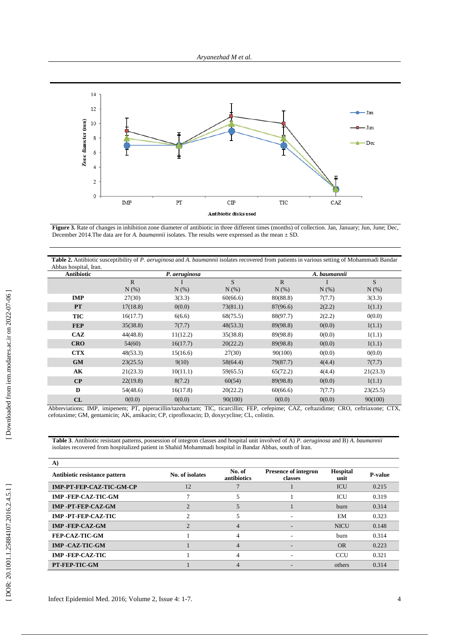

**Figure 3.** Rate of changes in inhibition zone diameter of antibiotic in three different times (months) of collection. Jan, January; Jun, June; Dec, December 2014.The data are for *A. baumannii* isolates. The results were expressed as the mean ± SD.

| Table 2. Antibiotic susceptibility of P. aeruginosa and A. baumannii isolates recovered from patients in various setting of Mohammadi Bandar<br>Abbas hospital, Iran. |                                                                                                                                               |               |          |              |              |          |  |
|-----------------------------------------------------------------------------------------------------------------------------------------------------------------------|-----------------------------------------------------------------------------------------------------------------------------------------------|---------------|----------|--------------|--------------|----------|--|
| <b>Antibiotic</b>                                                                                                                                                     |                                                                                                                                               | P. aeruginosa |          |              | A. baumannii |          |  |
|                                                                                                                                                                       | $\mathbb{R}$                                                                                                                                  |               | S        | $\mathbf{R}$ |              | S        |  |
|                                                                                                                                                                       | $N(\%)$                                                                                                                                       | N(%)          | N(% )    | $N(\%)$      | N(% )        | $N(\%)$  |  |
| <b>IMP</b>                                                                                                                                                            | 27(30)                                                                                                                                        | 3(3.3)        | 60(66.6) | 80(88.8)     | 7(7.7)       | 3(3.3)   |  |
| <b>PT</b>                                                                                                                                                             | 17(18.8)                                                                                                                                      | 0(0.0)        | 73(81.1) | 87(96.6)     | 2(2.2)       | 1(1.1)   |  |
| <b>TIC</b>                                                                                                                                                            | 16(17.7)                                                                                                                                      | 6(6.6)        | 68(75.5) | 88(97.7)     | 2(2.2)       | 0(0.0)   |  |
| <b>FEP</b>                                                                                                                                                            | 35(38.8)                                                                                                                                      | 7(7.7)        | 48(53.3) | 89(98.8)     | 0(0.0)       | 1(1.1)   |  |
| CAZ                                                                                                                                                                   | 44(48.8)                                                                                                                                      | 11(12.2)      | 35(38.8) | 89(98.8)     | 0(0.0)       | 1(1.1)   |  |
| <b>CRO</b>                                                                                                                                                            | 54(60)                                                                                                                                        | 16(17.7)      | 20(22.2) | 89(98.8)     | 0(0.0)       | 1(1.1)   |  |
| <b>CTX</b>                                                                                                                                                            | 48(53.3)                                                                                                                                      | 15(16.6)      | 27(30)   | 90(100)      | 0(0.0)       | 0(0.0)   |  |
| <b>GM</b>                                                                                                                                                             | 23(25.5)                                                                                                                                      | 9(10)         | 58(64.4) | 79(87.7)     | 4(4.4)       | 7(7.7)   |  |
| AK                                                                                                                                                                    | 21(23.3)                                                                                                                                      | 10(11.1)      | 59(65.5) | 65(72.2)     | 4(4.4)       | 21(23.3) |  |
| $\bf CP$                                                                                                                                                              | 22(19.8)                                                                                                                                      | 8(7.2)        | 60(54)   | 89(98.8)     | 0(0.0)       | 1(1.1)   |  |
| D                                                                                                                                                                     | 54(48.6)                                                                                                                                      | 16(17.8)      | 20(22.2) | 60(66.6)     | 7(7.7)       | 23(25.5) |  |
| CL                                                                                                                                                                    | 0(0.0)<br>Abbreviational BJD, iminanamy DT, pineraaillin/tagabastamy TJC, tiaanaillin: EED, asfanimay CAZ, asftagidimay CDO, asftriamanay CTV | 0(0.0)        | 90(100)  | 0(0.0)       | 0(0.0)       | 90(100)  |  |

Abbreviations; IMP, imipenem; PT, piperacillin/tazobactam; TIC, ticarcillin; FEP, cefepime; CAZ, ceftazidime; CRO, ceftriaxone; CTX, cefotaxime; GM, gentamicin; AK, amikacin; CP, ciprofloxacin; D, doxycycline; CL, colistin.

**Table 3**. Antibiotic resistant patterns, possession of integron classes and hospital unit involved of A) *P. aeruginosa* and B) *A. baumannii* isolates recovered from hospitalized patient in Shahid Mohammadi hospital in Bandar Abbas, south of Iran.

| A)                            |                 |                       |                                        |                         |                |
|-------------------------------|-----------------|-----------------------|----------------------------------------|-------------------------|----------------|
| Antibiotic resistance pattern | No. of isolates | No. of<br>antibiotics | <b>Presence of integron</b><br>classes | <b>Hospital</b><br>unit | <b>P-value</b> |
| IMP-PT-FEP-CAZ-TIC-GM-CP      | 12              |                       |                                        | <b>ICU</b>              | 0.215          |
| IMP-FEP-CAZ-TIC-GM            |                 |                       |                                        | ICU                     | 0.319          |
| IMP -PT-FEP-CAZ-GM            |                 |                       |                                        | <b>burn</b>             | 0.314          |
| IMP -PT-FEP-CAZ-TIC           |                 |                       |                                        | EM                      | 0.323          |
| <b>IMP-FEP-CAZ-GM</b>         |                 |                       |                                        | <b>NICU</b>             | 0.148          |
| FEP-CAZ-TIC-GM                |                 | 4                     |                                        | <b>burn</b>             | 0.314          |
| <b>IMP -CAZ-TIC-GM</b>        |                 |                       |                                        | <b>OR</b>               | 0.223          |
| <b>IMP -FEP-CAZ-TIC</b>       |                 | 4                     |                                        | CCU                     | 0.321          |
| PT-FEP-TIC-GM                 |                 |                       |                                        | others                  | 0.314          |

4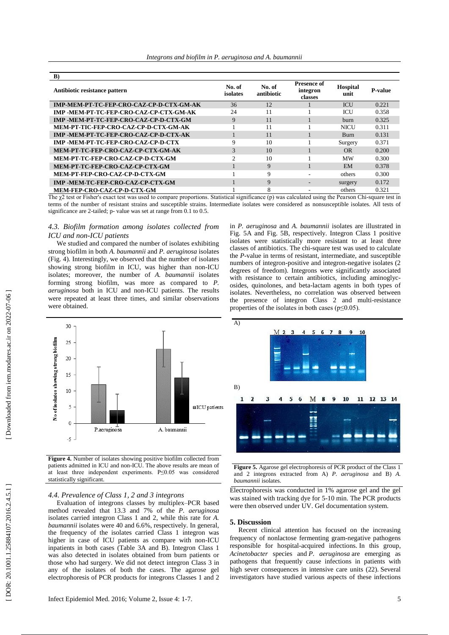| B)                                             |                    |                      |                                           |                         |                |
|------------------------------------------------|--------------------|----------------------|-------------------------------------------|-------------------------|----------------|
| Antibiotic resistance pattern                  | No. of<br>isolates | No. of<br>antibiotic | <b>Presence of</b><br>integron<br>classes | <b>Hospital</b><br>unit | <b>P-value</b> |
| IMP-MEM-PT-TC-FEP-CRO-CAZ-CP-D-CTX-GM-AK       | 36                 | 12                   |                                           | <b>ICU</b>              | 0.221          |
| <b>IMP -MEM-PT-TC-FEP-CRO-CAZ-CP-CTX-GM-AK</b> | 24                 | 11                   |                                           | ICU                     | 0.358          |
| IMP -MEM-PT-TC-FEP-CRO-CAZ-CP-D-CTX-GM         | 9                  | 11                   |                                           | burn                    | 0.325          |
| MEM-PT-TIC-FEP-CRO-CAZ-CP-D-CTX-GM-AK          |                    | 11                   |                                           | <b>NICU</b>             | 0.311          |
| IMP -MEM-PT-TC-FEP-CRO-CAZ-CP-D-CTX-AK         |                    | 11                   |                                           | <b>Burn</b>             | 0.131          |
| IMP -MEM-PT-TC-FEP-CRO-CAZ-CP-D-CTX            | 9                  | 10                   |                                           | Surgery                 | 0.371          |
| MEM-PT-TC-FEP-CRO-CAZ-CP-CTX-GM-AK             | 3                  | 10                   |                                           | OR.                     | 0.200          |
| MEM-PT-TC-FEP-CRO-CAZ-CP-D-CTX-GM              | ↑                  | 10                   |                                           | <b>MW</b>               | 0.300          |
| MEM-PT-TC-FEP-CRO-CAZ-CP-CTX-GM                |                    | 9                    |                                           | <b>EM</b>               | 0.378          |
| MEM-PT-FEP-CRO-CAZ-CP-D-CTX-GM                 |                    | 9                    | ۰                                         | others                  | 0.300          |
| IMP -MEM-TC-FEP-CRO-CAZ-CP-CTX-GM              |                    | 9                    | $\overline{\phantom{a}}$                  | surgery                 | 0.172          |
| MEM-FEP-CRO-CAZ-CP-D-CTX-GM                    |                    | 8                    |                                           | others                  | 0.321          |

The χ2 test or Fisher's exact test was used to compare proportions. Statistical significance (p) was calculated using the Pearson Chi-square test in terms of the number of resistant strains and susceptible strains. Intermediate isolates were considered as nonsusceptible isolates. All tests of significance are 2 -tailed; p - value was set at range from 0.1 to 0.5.

# *4.3. Biofilm formation among isolates collected from ICU and non -ICU patients*

We studied and compared the number of isolates exhibiting strong biofilm in both *A. baumannii* and *P. aeruginosa* isolates (Fig. 4). Interestingly, we observed that the number of isolates showing strong biofilm in ICU , was higher tha n non -ICU isolates ; moreover, the number of *A. baumannii* isolates forming strong biofilm , was more as compared to *P. aeruginosa* both in ICU and non -ICU patients. The results were repeated at least three time s , and similar observation s were obtained.

in *P. aeruginosa* and *A. baumannii* isolates are illustrated in Fig . 5A and Fig. 5 B , respectively . Integron Class 1 positive isolates were statistically more resistant to at least three classes of antibiotics . The chi -square test was used to calculate the *P* -value in terms of resistant, intermediate, and susceptible numbers of integron -positive and integron -negative isolates (2 degrees of freedom). Integrons were significantly associated with resistance to certain antibiotics, including aminoglycosides, quinolones, and beta -lactam agents in both types of isolates. Nevertheless , no correlation was observed between the presence of integron Class 2 and multi -resistance properties of the isolates in both cases ( $p \le 0.05$ ).



**Figure 4.** Number of isolates showing positive biofilm collected from patients admitted in ICU and non -ICU. The above results are mean of at least three independent experiments. P≤0.05 was considered statistically significant.

# *4.4. Prevalence of Class 1, 2 and 3 integrons*

Evaluation of integron s classes by multiplex –PCR based method revealed that 13.3 and 7% of the *P. aeruginosa* isolates carried integron Class 1 and 2, while this rate for *A. baumannii* isolates were 40 and 6.6% , respectively. In general, the frequency of the isolates carried Class 1 integron was higher in case of ICU patients as compare with non -ICU inpatients in both cases (Table 3A and B) . Integron Class 1 was also detected in isolates obtained from burn patients or those who had surgery. We did not detect integron Class 3 in any of the isolates of both the cases . The agarose gel electrophoresis of PCR products for integron s Classes 1 and 2



**Figure 5 .** Agarose gel electrophoresis of PCR product of the Class 1 and 2 integrons extracted from A) *P. aeruginosa* and B) *A. baumannii* isolates.

Electrophoresis was conducted in 1% agarose gel and the gel was stained with tracking dye for 5 -10 min. The PCR products were then observed under UV. Gel documentation system.

# **5. Discussion**

Recent clinical attention has focused on the increasing frequency of nonlactose fermenting gram -negative pathogens responsible for hospital -acquired infections . In this group , *Acinetobacter* species and *P . aeruginosa* are emerging as pathogens that frequently cause infections in patients with high sever consequences in intensive care units ( 22) . Several investigators have studied various aspects of these infections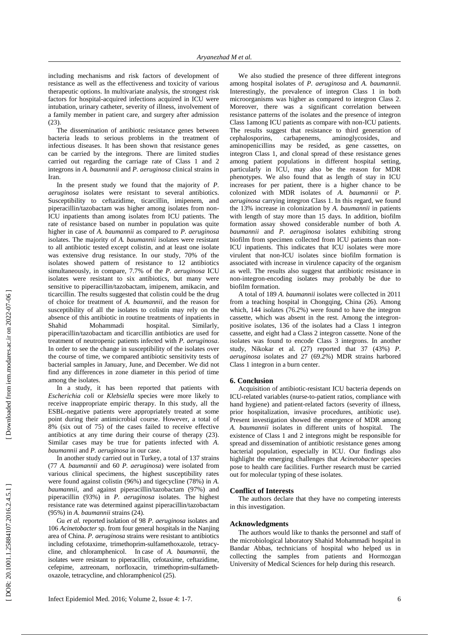including mechanisms and risk factors of development of resistance as well as the effectiveness and toxicity of various therapeutic options. In multivariate analysis, the strongest risk factors for hospital -acquired infections acquired in ICU were intubation, urinary catheter, severity of illness, involvement of a family member in patient care, and surgery after admission (23).

The dissemination of antibiotic resistance genes between bacteria leads to serious problems in the treatment of infectious diseases. It has been shown that resistance genes can be carried by the integrons. There are limited studies carried out regarding the carriage rate of Class 1 and 2 integrons in *A. baumannii* and *P . aeruginosa* clinical strains in Iran.

In the present study we found that the majority of *P. aeruginosa* isolates were resistan t to several antibiotics. Susceptibility to ceftazidime, ticarcillin, imipenem, and piperacillin/tazobactam was higher among isolates from non - ICU inpatients than among isolates from ICU patients. The rate of resistance based on number in population was quite higher in case of *A. baumannii* as compared to *P. aeruginosa* isolates. The majority of *A. baumannii* isolates were resistant to all antibiotic tested except colistin , and at least one isolate was extensive drug resistance. In our study, 70% of the isolates showed pattern of resistance to 12 antibiotics simultaneously, in compare, 7.7% of the *P. aeruginosa* ICU isolates were resistant to six antibiotics, but many were sensitive to piperacillin/tazobactam, imipenem, amikacin , and ticarcillin. The results suggested that colistin could be the drug of choice for treatment of *A. baumannii ,* and the reason for susceptibility of all the isolates to colistin may rely on the absence of this antibiotic in routine treatments of inpatients in Shahid Mohammadi hospital. Similarly, piperacillin/tazobactam and ticarcillin antibiotic s are used for treatment of neutropenic patients infected with *P. aeruginosa*. In order to see the change in susceptibility of the isolates over the course of time, we compared antibiotic sensitivity tests of bacterial samples in January, June , and December. We did not find any differences in zone diameter in this period of time among the isolates.

In a study, i t has been reported that patients with *Escherichia coli* or *Klebsiella* species were more likely to receive inappropriate empiric therapy. In this study, all the ESBL -negative patients were appropriately treated at some point during their antimicrobial course. However, a total of 8% (six out of 75) of the cases failed to receive effective antibiotics at any time during their course of therapy (23 ). Similar cases may be true for patients infected with *A. baumannii* and *P. aeruginosa* in our case .

In a nother study carried out in Turkey, a total of 137 strains (77 *A. baumannii* and 60 *P. aeruginosa*) were isolated from various clinical specimens, the highest susceptibility rates were found against colistin (96%) and tigecycline (78%) in *A. baumannii*, and against piperacillin/tazobactam (97%) and piperacillin (93%) in *P. aeruginosa* isolates. The highest resistance rate was determined against piperacillin/tazobactam (95%) in *A. baumannii* strains ( 24).

Gu *et al.* reported isolation of 98 *P. aeruginosa* isolates and 106 *Acinetobacter* sp. from four general hospitals in the Nanjing area of China. *P. aeruginosa* strains were resistan t to antibiotics including cefotaxime, trimethoprim -sulfamethoxazole, tetracy cline, and chloramphenicol. In case of *A. baumannii ,* the isolates were resistan t to piperacillin, cefotaxime, ceftazidime, cefepime, aztreonam, norfloxacin, trimethoprim -sulfameth oxazole, tetracycline, and chloramphenicol ( 25) .

We also studied the presence of three different integrons among hospital isolates of *P. aeruginosa* and *A. baumannii* . Interestingly, the prevalence of integron Class 1 in both microorganisms was higher as compared to integron Class 2. Moreover, there was a significant correlation between resistance patterns of the isolates and the presence of integron Class 1among ICU patients as compare with non-ICU patients. The results suggest that resistance to third generation of cephalosporins, carbapenems, aminoglycosides, and aminoglycosides, , and aminopenicillins may be resided , as gene cassettes , on integron Class 1 , and clonal spread of these resistance genes among patient populations in different hospital setting, particularly in ICU , may also be the reason for MDR phenotypes. We also found that as length of stay in ICU increases for per patient, there is a higher chance to be colonized with MDR isolates of *A. baumannii* or *P. aeruginosa* carrying integron Class 1. In this regard, we found the 13% increase in colonization by *A. baumannii* in patients with length of stay more than 15 days. In addition, biofilm formation assay showed considerable number of both *A. baumannii* and *P. aeruginosa* isolates exhibiting strong biofilm from specimen collected from ICU patients than non - ICU inpatients. This indicates that ICU isolates were more virulent that non -ICU isolates since biofilm formation is associate d with increase in virulence capacity of the organism as well. The results also suggest that antibiotic resistance in non -integron -encoding isolates may probably be due to biofilm formation .

A total of 189 *A. baumannii* isolates were collected in 2011 from a teaching hospital in Chongqing, China ( 26) . Among which, 144 isolates (76.2%) were found to have the integron cassette , which was absent in the rest. Among the integron positive isolates, 136 of the isolates had a Class 1 integron cassett e , and eight had a Class 2 integron cassette. None of the isolates was found to encode Class 3 integron s . In another study, Nikokar et al. ( 27) reported that 37 (43%) *P. aeruginosa* isolates and 27 (69.2%) MDR strains harbored Class 1 integron in a burn center.

### **6. Conclusion**

Acquisition of antibiotic -resistant ICU bacteria depends on ICU -related variables (nurse -to -patient ratios, compliance with hand hygiene) and patient -related factors (severity of illness, prior hospitalization, invasive procedures, antibiotic use). Present investigation showed the emergence of MDR among *A. baumannii* isolates in different units of hospital. The existence of Class 1 and 2 integron s might be responsible for spread and dissemination of antibiotic resistance gene s among bacterial population , especially in ICU . Our findings also highlight the emerging challenges that *Acinetobacter* species pose to health care facilities . Further research must be carried out for molecular typing of these isolates.

## **Conflict of Interests**

The authors declare that they have no competing interests in this investigation.

#### **Acknowledgments**

The authors would like to thanks the personnel and staff of the microbiological laboratory Shahid Mohammadi hospital in Bandar Abbas, technician s of hospital who helped us in collecting the samples from patients and Hormozgan University of Medical Sciences for help during this research.